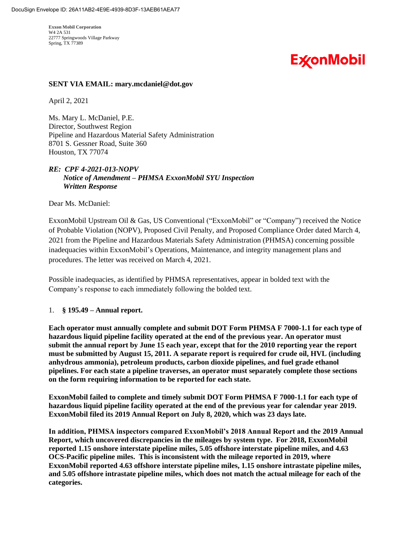22777 Springwoods Village Parkway **Exxon Mobil Corporation**  W4 2A 531 Spring, TX 77389

# **ExconMobil**

### **SENT VIA EMAIL: [mary.mcdaniel@dot.gov](mailto:mary.mcdaniel@dot.gov)**

April 2, 2021

Ms. Mary L. McDaniel, P.E. Director, Southwest Region Pipeline and Hazardous Material Safety Administration 8701 S. Gessner Road, Suite 360 Houston, TX 77074

## *RE: CPF 4-2021-013-NOPV Notice of Amendment – PHMSA ExxonMobil SYU Inspection Written Response*

Dear Ms. McDaniel:

ExxonMobil Upstream Oil & Gas, US Conventional ("ExxonMobil" or "Company") received the Notice of Probable Violation (NOPV), Proposed Civil Penalty, and Proposed Compliance Order dated March 4, 2021 from the Pipeline and Hazardous Materials Safety Administration (PHMSA) concerning possible inadequacies within ExxonMobil's Operations, Maintenance, and integrity management plans and procedures. The letter was received on March 4, 2021.

Possible inadequacies, as identified by PHMSA representatives, appear in bolded text with the Company's response to each immediately following the bolded text.

### 1. **§ 195.49 – Annual report.**

Each operator must annually complete and submit DOT Form PHMSA F 7000-1.1 for each type of **hazardous liquid pipeline facility operated at the end of the previous year. An operator must submit the annual report by June 15 each year, except that for the 2010 reporting year the report must be submitted by August 15, 2011. A separate report is required for crude oil, HVL (including anhydrous ammonia), petroleum products, carbon dioxide pipelines, and fuel grade ethanol pipelines. For each state a pipeline traverses, an operator must separately complete those sections on the form requiring information to be reported for each state.** 

 **ExxonMobil failed to complete and timely submit DOT Form PHMSA F 7000-1.1 for each type of hazardous liquid pipeline facility operated at the end of the previous year for calendar year 2019. ExxonMobil filed its 2019 Annual Report on July 8, 2020, which was 23 days late.** 

 **Report, which uncovered discrepancies in the mileages by system type. For 2018, ExxonMobil In addition, PHMSA inspectors compared ExxonMobil's 2018 Annual Report and the 2019 Annual reported 1.15 onshore interstate pipeline miles, 5.05 offshore interstate pipeline miles, and 4.63 OCS-Pacific pipeline miles. This is inconsistent with the mileage reported in 2019, where ExxonMobil reported 4.63 offshore interstate pipeline miles, 1.15 onshore intrastate pipeline miles, and 5.05 offshore intrastate pipeline miles, which does not match the actual mileage for each of the categories.**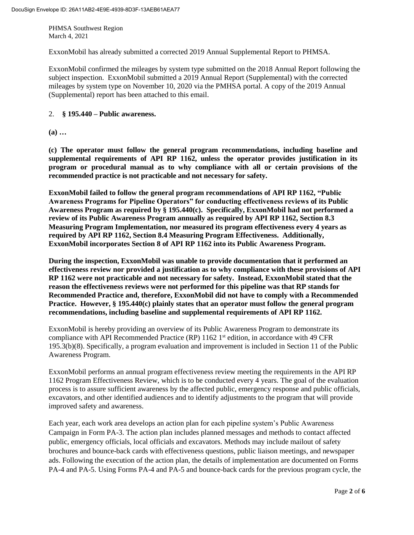ExxonMobil has already submitted a corrected 2019 Annual Supplemental Report to PHMSA.

ExxonMobil confirmed the mileages by system type submitted on the 2018 Annual Report following the subject inspection. ExxonMobil submitted a 2019 Annual Report (Supplemental) with the corrected mileages by system type on November 10, 2020 via the PMHSA portal. A copy of the 2019 Annual (Supplemental) report has been attached to this email.

#### 2. **§ 195.440 – Public awareness.**

**(a) …**

 **(c) The operator must follow the general program recommendations, including baseline and supplemental requirements of API RP 1162, unless the operator provides justification in its program or procedural manual as to why compliance with all or certain provisions of the recommended practice is not practicable and not necessary for safety.** 

**ExxonMobil failed to follow the general program recommendations of API RP 1162, "Public Awareness Programs for Pipeline Operators" for conducting effectiveness reviews of its Public Awareness Program as required by § 195.440(c). Specifically, ExxonMobil had not performed a review of its Public Awareness Program annually as required by API RP 1162, Section 8.3 Measuring Program Implementation, nor measured its program effectiveness every 4 years as required by API RP 1162, Section 8.4 Measuring Program Effectiveness. Additionally, ExxonMobil incorporates Section 8 of API RP 1162 into its Public Awareness Program.** 

**During the inspection, ExxonMobil was unable to provide documentation that it performed an effectiveness review nor provided a justification as to why compliance with these provisions of API RP 1162 were not practicable and not necessary for safety. Instead, ExxonMobil stated that the reason the effectiveness reviews were not performed for this pipeline was that RP stands for Recommended Practice and, therefore, ExxonMobil did not have to comply with a Recommended Practice. However, § 195.440(c) plainly states that an operator must follow the general program recommendations, including baseline and supplemental requirements of API RP 1162.** 

ExxonMobil is hereby providing an overview of its Public Awareness Program to demonstrate its compliance with API Recommended Practice (RP)  $1162 \, 1^{st}$  edition, in accordance with 49 CFR 195.3(b)(8). Specifically, a program evaluation and improvement is included in Section 11 of the Public Awareness Program.

ExxonMobil performs an annual program effectiveness review meeting the requirements in the API RP 1162 Program Effectiveness Review, which is to be conducted every 4 years. The goal of the evaluation process is to assure sufficient awareness by the affected public, emergency response and public officials, excavators, and other identified audiences and to identify adjustments to the program that will provide improved safety and awareness.

Each year, each work area develops an action plan for each pipeline system's Public Awareness Campaign in Form PA-3. The action plan includes planned messages and methods to contact affected public, emergency officials, local officials and excavators. Methods may include mailout of safety brochures and bounce-back cards with effectiveness questions, public liaison meetings, and newspaper ads. Following the execution of the action plan, the details of implementation are documented on Forms PA-4 and PA-5. Using Forms PA-4 and PA-5 and bounce-back cards for the previous program cycle, the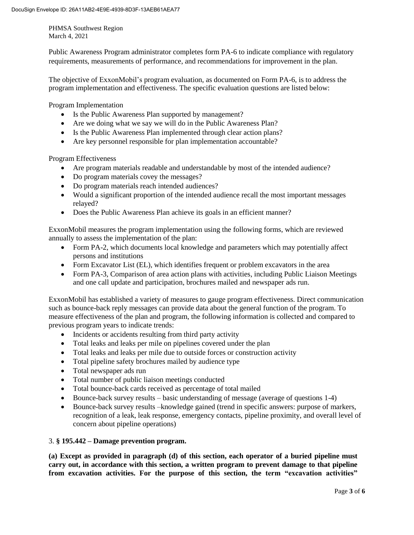Public Awareness Program administrator completes form PA-6 to indicate compliance with regulatory requirements, measurements of performance, and recommendations for improvement in the plan.

The objective of ExxonMobil's program evaluation, as documented on Form PA-6, is to address the program implementation and effectiveness. The specific evaluation questions are listed below:

Program Implementation

- Is the Public Awareness Plan supported by management?
- Are we doing what we say we will do in the Public Awareness Plan?
- Is the Public Awareness Plan implemented through clear action plans?
- Are key personnel responsible for plan implementation accountable?

Program Effectiveness

- Are program materials readable and understandable by most of the intended audience?
- Do program materials covey the messages?
- Do program materials reach intended audiences?
- Would a significant proportion of the intended audience recall the most important messages relayed?
- Does the Public Awareness Plan achieve its goals in an efficient manner?

ExxonMobil measures the program implementation using the following forms, which are reviewed annually to assess the implementation of the plan:

- Form PA-2, which documents local knowledge and parameters which may potentially affect persons and institutions
- Form Excavator List (EL), which identifies frequent or problem excavators in the area
- Form PA-3, Comparison of area action plans with activities, including Public Liaison Meetings and one call update and participation, brochures mailed and newspaper ads run.

ExxonMobil has established a variety of measures to gauge program effectiveness. Direct communication such as bounce-back reply messages can provide data about the general function of the program. To measure effectiveness of the plan and program, the following information is collected and compared to previous program years to indicate trends:

- Incidents or accidents resulting from third party activity
- Total leaks and leaks per mile on pipelines covered under the plan
- Total leaks and leaks per mile due to outside forces or construction activity
- Total pipeline safety brochures mailed by audience type
- Total newspaper ads run
- Total number of public liaison meetings conducted
- Total bounce-back cards received as percentage of total mailed
- Bounce-back survey results basic understanding of message (average of questions 1-4)
- recognition of a leak, leak response, emergency contacts, pipeline proximity, and overall level of Bounce-back survey results –knowledge gained (trend in specific answers: purpose of markers, concern about pipeline operations)

#### 3. **§ 195.442 – Damage prevention program.**

 **(a) Except as provided in paragraph (d) of this section, each operator of a buried pipeline must carry out, in accordance with this section, a written program to prevent damage to that pipeline from excavation activities. For the purpose of this section, the term "excavation activities"**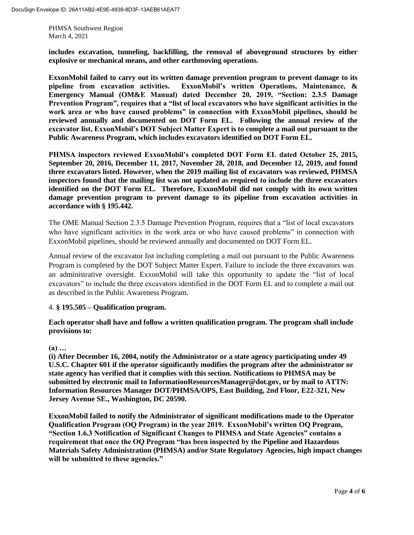**includes excavation, tunneling, backfilling, the removal of aboveground structures by either explosive or mechanical means, and other earthmoving operations.** 

 **ExxonMobil failed to carry out its written damage prevention program to prevent damage to its**  pipeline from excavation activities.  **Emergency Manual (OM&E Manual) dated December 20, 2019, "Section: 2.3.5 Damage Prevention Program", requires that a "list of local excavators who have significant activities in the work area or who have caused problems" in connection with ExxonMobil pipelines, should be reviewed annually and documented on DOT Form EL. Following the annual review of the excavator list, ExxonMobil's DOT Subject Matter Expert is to complete a mail out pursuant to the Public Awareness Program, which includes excavators identified on DOT Form EL. exxonMobil's** written Operations, Maintenance, &

 **PHMSA inspectors reviewed ExxonMobil's completed DOT Form EL dated October 25, 2015, three excavators listed. However, when the 2019 mailing list of excavators was reviewed, PHMSA inspectors found that the mailing list was not updated as required to include the three excavators identified on the DOT Form EL. Therefore, ExxonMobil did not comply with its own written**  damage prevention program to prevent damage to its pipeline from excavation activities in **September 20, 2016, December 11, 2017, November 28, 2018, and December 12, 2019, and found accordance with § 195.442.** 

 The OME Manual Section 2.3.5 Damage Prevention Program, requires that a "list of local excavators who have significant activities in the work area or who have caused problems" in connection with ExxonMobil pipelines, should be reviewed annually and documented on DOT Form EL.

 Annual review of the excavator list including completing a mail out pursuant to the Public Awareness Program is completed by the DOT Subject Matter Expert. Failure to include the three excavators was an administrative oversight. ExxonMobil will take this opportunity to update the "list of local excavators" to include the three excavators identified in the DOT Form EL and to complete a mail out as described in the Public Awareness Program.

### 4. **§ 195.505 – Qualification program.**

**Each operator shall have and follow a written qualification program. The program shall include provisions to:** 

### **(a) …**

 **state agency has verified that it complies with this section. Notifications to PHMSA may be submitted by electronic mail to [InformationResourcesManager@dot.gov,](mailto:InformationResourcesManager@dot.gov) or by mail to ATTN: (i) After December 16, 2004, notify the Administrator or a state agency participating under 49 U.S.C. Chapter 601 if the operator significantly modifies the program after the administrator or Information Resources Manager DOT/PHMSA/OPS, East Building, 2nd Floor, E22-321, New Jersey Avenue SE., Washington, DC 20590.** 

 **Qualification Program (OQ Program) in the year 2019. ExxonMobil's written OQ Program, requirement that once the OQ Program "has been inspected by the Pipeline and Hazardous ExxonMobil failed to notify the Administrator of significant modifications made to the Operator "Section 1.6.3 Notification of Significant Changes to PHMSA and State Agencies" contains a Materials Safety Administration (PHMSA) and/or State Regulatory Agencies, high impact changes will be submitted to these agencies."**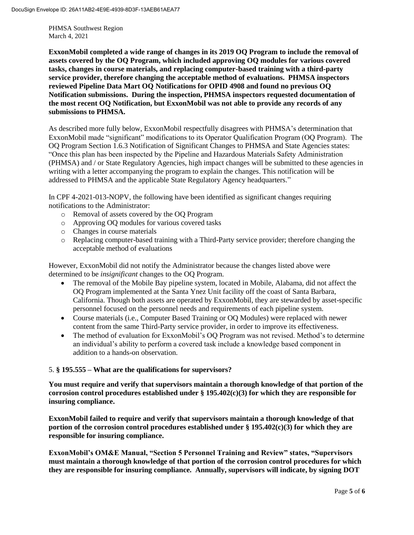**assets covered by the OQ Program, which included approving OQ modules for various covered service provider, therefore changing the acceptable method of evaluations. PHMSA inspectors reviewed Pipeline Data Mart OQ Notifications for OPID 4908 and found no previous OQ ExxonMobil completed a wide range of changes in its 2019 OQ Program to include the removal of tasks, changes in course materials, and replacing computer-based training with a third-party Notification submissions. During the inspection, PHMSA inspectors requested documentation of the most recent OQ Notification, but ExxonMobil was not able to provide any records of any submissions to PHMSA.** 

 ExxonMobil made "significant" modifications to its Operator Qualification Program (OQ Program). The OQ Program Section 1.6.3 Notification of Significant Changes to PHMSA and State Agencies states: As described more fully below, ExxonMobil respectfully disagrees with PHMSA's determination that "Once this plan has been inspected by the Pipeline and Hazardous Materials Safety Administration (PHMSA) and / or State Regulatory Agencies, high impact changes will be submitted to these agencies in writing with a letter accompanying the program to explain the changes. This notification will be addressed to PHMSA and the applicable State Regulatory Agency headquarters."

In CPF 4-2021-013-NOPV, the following have been identified as significant changes requiring notifications to the Administrator:

- o Removal of assets covered by the OQ Program
- o Approving OQ modules for various covered tasks
- o Changes in course materials
- o Replacing computer-based training with a Third-Party service provider; therefore changing the acceptable method of evaluations

However, ExxonMobil did not notify the Administrator because the changes listed above were determined to be *insignificant* changes to the OQ Program.

- The removal of the Mobile Bay pipeline system, located in Mobile, Alabama, did not affect the OQ Program implemented at the Santa Ynez Unit facility off the coast of Santa Barbara, California. Though both assets are operated by ExxonMobil, they are stewarded by asset-specific personnel focused on the personnel needs and requirements of each pipeline system.
- Course materials (i.e., Computer Based Training or OQ Modules) were replaced with newer content from the same Third-Party service provider, in order to improve its effectiveness.
- The method of evaluation for ExxonMobil's OO Program was not revised. Method's to determine an individual's ability to perform a covered task include a knowledge based component in addition to a hands-on observation.

### 5. **§ 195.555 – What are the qualifications for supervisors?**

**You must require and verify that supervisors maintain a thorough knowledge of that portion of the corrosion control procedures established under § 195.402(c)(3) for which they are responsible for insuring compliance.** 

**ExxonMobil failed to require and verify that supervisors maintain a thorough knowledge of that portion of the corrosion control procedures established under § 195.402(c)(3) for which they are responsible for insuring compliance.** 

**ExxonMobil's OM&E Manual, "Section 5 Personnel Training and Review" states, "Supervisors must maintain a thorough knowledge of that portion of the corrosion control procedures for which they are responsible for insuring compliance. Annually, supervisors will indicate, by signing DOT**